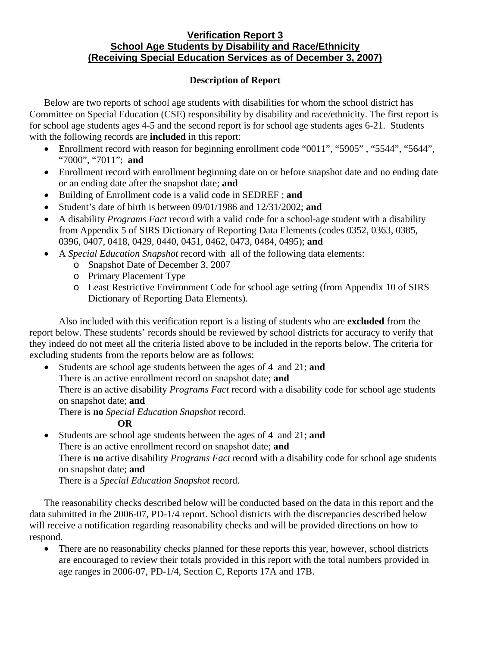#### **Verification Report 3 School Age Students by Disability and Race/Ethnicity (Receiving Special Education Services as of December 3, 2007)**

# **Description of Report**

Below are two reports of school age students with disabilities for whom the school district has Committee on Special Education (CSE) responsibility by disability and race/ethnicity. The first report is for school age students ages 4-5 and the second report is for school age students ages 6-21. Students with the following records are **included** in this report:

- Enrollment record with reason for beginning enrollment code "0011", "5905", "5544", "5644", "7000", "7011"; **and**
- Enrollment record with enrollment beginning date on or before snapshot date and no ending date or an ending date after the snapshot date; **and**
- Building of Enrollment code is a valid code in SEDREF ; **and**
- Student's date of birth is between 09/01/1986 and 12/31/2002; **and**
- A disability *Programs Fact* record with a valid code for a school-age student with a disability from Appendix 5 of SIRS Dictionary of Reporting Data Elements (codes 0352, 0363, 0385, 0396, 0407, 0418, 0429, 0440, 0451, 0462, 0473, 0484, 0495); **and**
- A *Special Education Snapshot* record with all of the following data elements:
	- o Snapshot Date of December 3, 2007
	- o Primary Placement Type
	- o Least Restrictive Environment Code for school age setting (from Appendix 10 of SIRS Dictionary of Reporting Data Elements).

Also included with this verification report is a listing of students who are **excluded** from the report below. These students' records should be reviewed by school districts for accuracy to verify that they indeed do not meet all the criteria listed above to be included in the reports below. The criteria for excluding students from the reports below are as follows:

• Students are school age students between the ages of 4 and 21; **and**  There is an active enrollment record on snapshot date; **and** There is an active disability *Programs Fact* record with a disability code for school age students on snapshot date; **and**

There is **no** *Special Education Snapshot* record.

## **OR**

• Students are school age students between the ages of 4 and 21; **and** There is an active enrollment record on snapshot date; **and**  There is **no** active disability *Programs Fact* record with a disability code for school age students on snapshot date; **and** There is a *Special Education Snapshot* record.

The reasonability checks described below will be conducted based on the data in this report and the data submitted in the 2006-07, PD-1/4 report. School districts with the discrepancies described below will receive a notification regarding reasonability checks and will be provided directions on how to respond.

• There are no reasonability checks planned for these reports this year, however, school districts are encouraged to review their totals provided in this report with the total numbers provided in age ranges in 2006-07, PD-1/4, Section C, Reports 17A and 17B.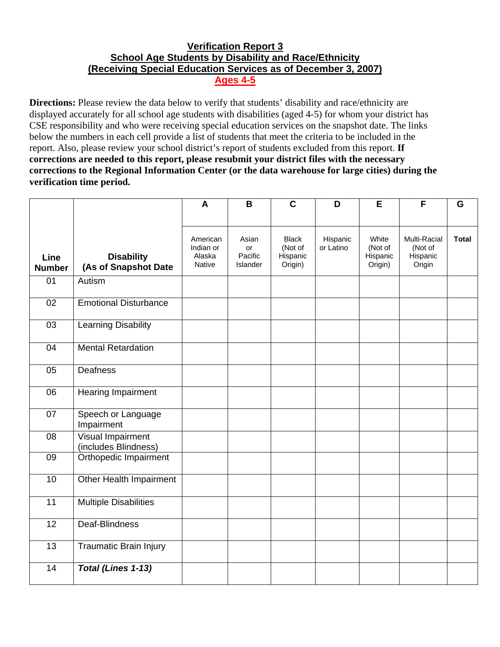# **Verification Report 3 School Age Students by Disability and Race/Ethnicity (Receiving Special Education Services as of December 3, 2007) Ages 4-5**

**Directions:** Please review the data below to verify that students' disability and race/ethnicity are displayed accurately for all school age students with disabilities (aged 4-5) for whom your district has CSE responsibility and who were receiving special education services on the snapshot date. The links below the numbers in each cell provide a list of students that meet the criteria to be included in the report. Also, please review your school district's report of students excluded from this report. **If corrections are needed to this report, please resubmit your district files with the necessary corrections to the Regional Information Center (or the data warehouse for large cities) during the verification time period.**

|                       |                                                  | A                                         | B                                  | $\mathbf C$                                    | D                     | E                                       | F                                             | G            |
|-----------------------|--------------------------------------------------|-------------------------------------------|------------------------------------|------------------------------------------------|-----------------------|-----------------------------------------|-----------------------------------------------|--------------|
|                       |                                                  |                                           |                                    |                                                |                       |                                         |                                               |              |
| Line<br><b>Number</b> | <b>Disability</b><br>(As of Snapshot Date        | American<br>Indian or<br>Alaska<br>Native | Asian<br>or<br>Pacific<br>Islander | <b>Black</b><br>(Not of<br>Hispanic<br>Origin) | Hispanic<br>or Latino | White<br>(Not of<br>Hispanic<br>Origin) | Multi-Racial<br>(Not of<br>Hispanic<br>Origin | <b>Total</b> |
| 01                    | Autism                                           |                                           |                                    |                                                |                       |                                         |                                               |              |
| 02                    | <b>Emotional Disturbance</b>                     |                                           |                                    |                                                |                       |                                         |                                               |              |
| 03                    | Learning Disability                              |                                           |                                    |                                                |                       |                                         |                                               |              |
| 04                    | <b>Mental Retardation</b>                        |                                           |                                    |                                                |                       |                                         |                                               |              |
| 05                    | <b>Deafness</b>                                  |                                           |                                    |                                                |                       |                                         |                                               |              |
| 06                    | <b>Hearing Impairment</b>                        |                                           |                                    |                                                |                       |                                         |                                               |              |
| 07                    | Speech or Language<br>Impairment                 |                                           |                                    |                                                |                       |                                         |                                               |              |
| 08                    | <b>Visual Impairment</b><br>(includes Blindness) |                                           |                                    |                                                |                       |                                         |                                               |              |
| 09                    | Orthopedic Impairment                            |                                           |                                    |                                                |                       |                                         |                                               |              |
| 10                    | Other Health Impairment                          |                                           |                                    |                                                |                       |                                         |                                               |              |
| 11                    | <b>Multiple Disabilities</b>                     |                                           |                                    |                                                |                       |                                         |                                               |              |
| 12                    | Deaf-Blindness                                   |                                           |                                    |                                                |                       |                                         |                                               |              |
| $\overline{13}$       | <b>Traumatic Brain Injury</b>                    |                                           |                                    |                                                |                       |                                         |                                               |              |
| 14                    | Total (Lines 1-13)                               |                                           |                                    |                                                |                       |                                         |                                               |              |